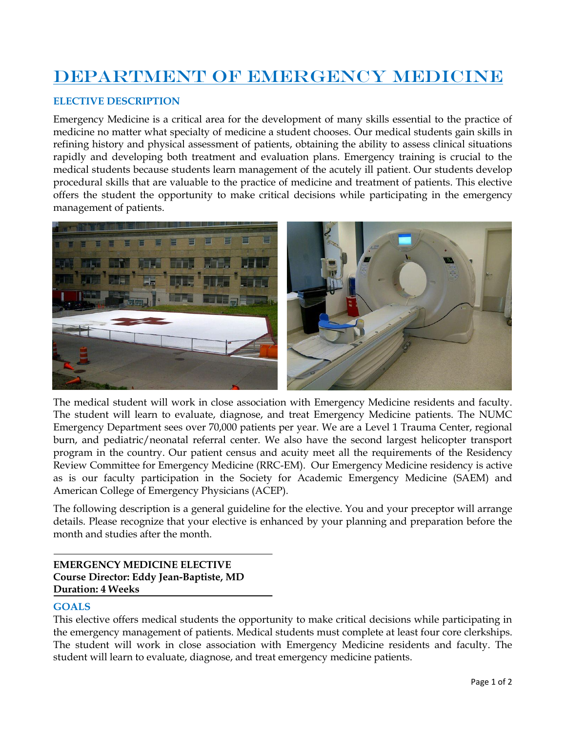# DEPARTMENT OF EMERGENCY MEDICINE

## **ELECTIVE DESCRIPTION**

Emergency Medicine is a critical area for the development of many skills essential to the practice of medicine no matter what specialty of medicine a student chooses. Our medical students gain skills in refining history and physical assessment of patients, obtaining the ability to assess clinical situations rapidly and developing both treatment and evaluation plans. Emergency training is crucial to the medical students because students learn management of the acutely ill patient. Our students develop procedural skills that are valuable to the practice of medicine and treatment of patients. This elective offers the student the opportunity to make critical decisions while participating in the emergency management of patients.



The medical student will work in close association with Emergency Medicine residents and faculty. The student will learn to evaluate, diagnose, and treat Emergency Medicine patients. The NUMC Emergency Department sees over 70,000 patients per year. We are a Level 1 Trauma Center, regional burn, and pediatric/neonatal referral center. We also have the second largest helicopter transport program in the country. Our patient census and acuity meet all the requirements of the Residency Review Committee for Emergency Medicine (RRC-EM). Our Emergency Medicine residency is active as is our faculty participation in the Society for Academic Emergency Medicine (SAEM) and American College of Emergency Physicians (ACEP).

The following description is a general guideline for the elective. You and your preceptor will arrange details. Please recognize that your elective is enhanced by your planning and preparation before the month and studies after the month.

# **EMERGENCY MEDICINE ELECTIVE Course Director: Eddy Jean-Baptiste, MD Duration: 4 Weeks**

### **GOALS**

This elective offers medical students the opportunity to make critical decisions while participating in the emergency management of patients. Medical students must complete at least four core clerkships. The student will work in close association with Emergency Medicine residents and faculty. The student will learn to evaluate, diagnose, and treat emergency medicine patients.